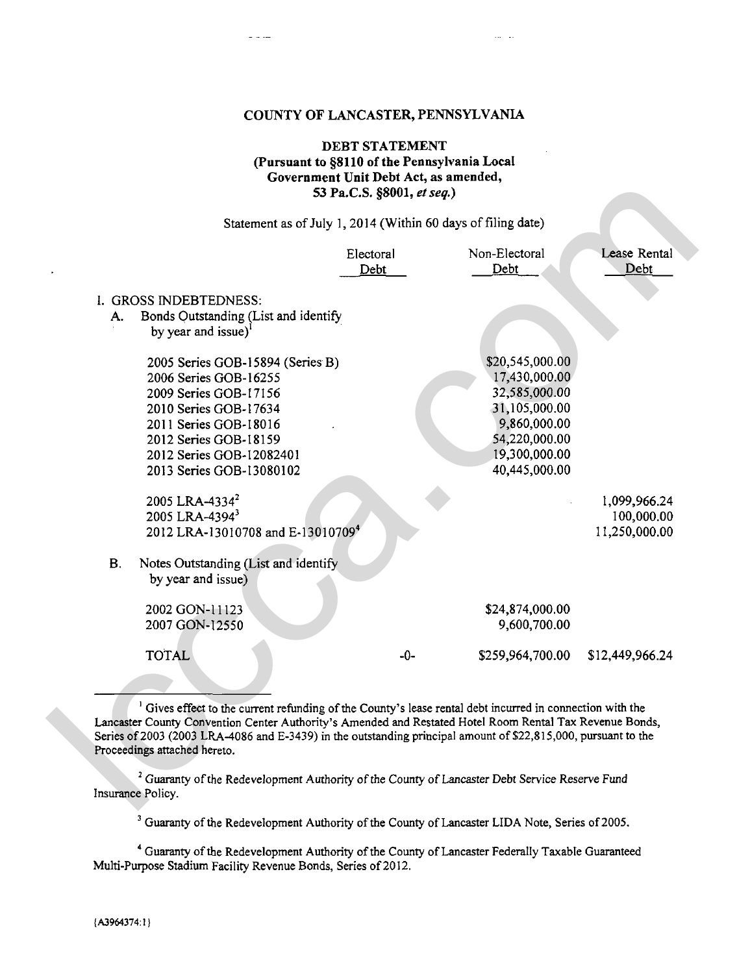# COUNTY OF LANCASTER. PENNSYLVANIA

# **DEBT** STATEMENT **(Pursuant to \$8110 of the Pennsylvania Local Government Unit Debt** Act, **as amended,**  53 Pa.C.S. **\$8001,** *et* **seq.)**

|           |                                                                                                                                                                                                                                                                                                                                                                                    | 53 Pa.C.S. §8001, et seq.) |                                                                                                                                       |                                             |
|-----------|------------------------------------------------------------------------------------------------------------------------------------------------------------------------------------------------------------------------------------------------------------------------------------------------------------------------------------------------------------------------------------|----------------------------|---------------------------------------------------------------------------------------------------------------------------------------|---------------------------------------------|
|           |                                                                                                                                                                                                                                                                                                                                                                                    |                            | Statement as of July 1, 2014 (Within 60 days of filing date)                                                                          |                                             |
|           |                                                                                                                                                                                                                                                                                                                                                                                    | Electoral<br>Debt          | Non-Electoral<br>Debt                                                                                                                 | Lease Rental<br>Debt                        |
| А.        | I. GROSS INDEBTEDNESS:<br>Bonds Outstanding (List and identify<br>by year and issue) <sup>1</sup>                                                                                                                                                                                                                                                                                  |                            |                                                                                                                                       |                                             |
|           | 2005 Series GOB-15894 (Series B)<br>2006 Series GOB-16255<br>2009 Series GOB-17156<br>2010 Series GOB-17634<br>2011 Series GOB-18016<br>2012 Series GOB-18159<br>2012 Series GOB-12082401<br>2013 Series GOB-13080102                                                                                                                                                              |                            | \$20,545,000.00<br>17,430,000.00<br>32,585,000.00<br>31,105,000.00<br>9,860,000.00<br>54,220,000.00<br>19,300,000.00<br>40,445,000.00 |                                             |
|           | 2005 LRA-4334 <sup>2</sup><br>2005 LRA-43943<br>2012 LRA-13010708 and E-13010709 <sup>4</sup>                                                                                                                                                                                                                                                                                      |                            |                                                                                                                                       | 1,099,966.24<br>100,000.00<br>11,250,000.00 |
| <b>B.</b> | Notes Outstanding (List and identify<br>by year and issue)                                                                                                                                                                                                                                                                                                                         |                            |                                                                                                                                       |                                             |
|           | 2002 GON-11123<br>2007 GON-12550                                                                                                                                                                                                                                                                                                                                                   |                            | \$24,874,000.00<br>9,600,700.00                                                                                                       |                                             |
|           | <b>TOTAL</b>                                                                                                                                                                                                                                                                                                                                                                       | $-0-$                      | \$259,964,700.00                                                                                                                      | \$12,449,966.24                             |
|           | <sup>1</sup> Gives effect to the current refunding of the County's lease rental debt incurred in connection with the<br>Lancaster County Convention Center Authority's Amended and Restated Hotel Room Rental Tax Revenue Bonds,<br>Series of 2003 (2003 LRA-4086 and E-3439) in the outstanding principal amount of \$22,815,000, pursuant to the<br>Proceedings attached hereto. |                            |                                                                                                                                       |                                             |
|           | <sup>2</sup> Guaranty of the Redevelopment Authority of the County of Lancaster Debt Service Reserve Fund<br>Insurance Policy.                                                                                                                                                                                                                                                     |                            |                                                                                                                                       |                                             |

**<sup>3</sup>**Guaranty of the Redevelopment Authority of the County of Lancaster LIDA Note, Series of ZOOS.

**<sup>4</sup>**Guaranty of tbe Redevelopment Authority of the County of Lancaster Federally Taxable Guaranteed Multi-Purpose Stadium Facility Revenue Bonds, Series of 2012.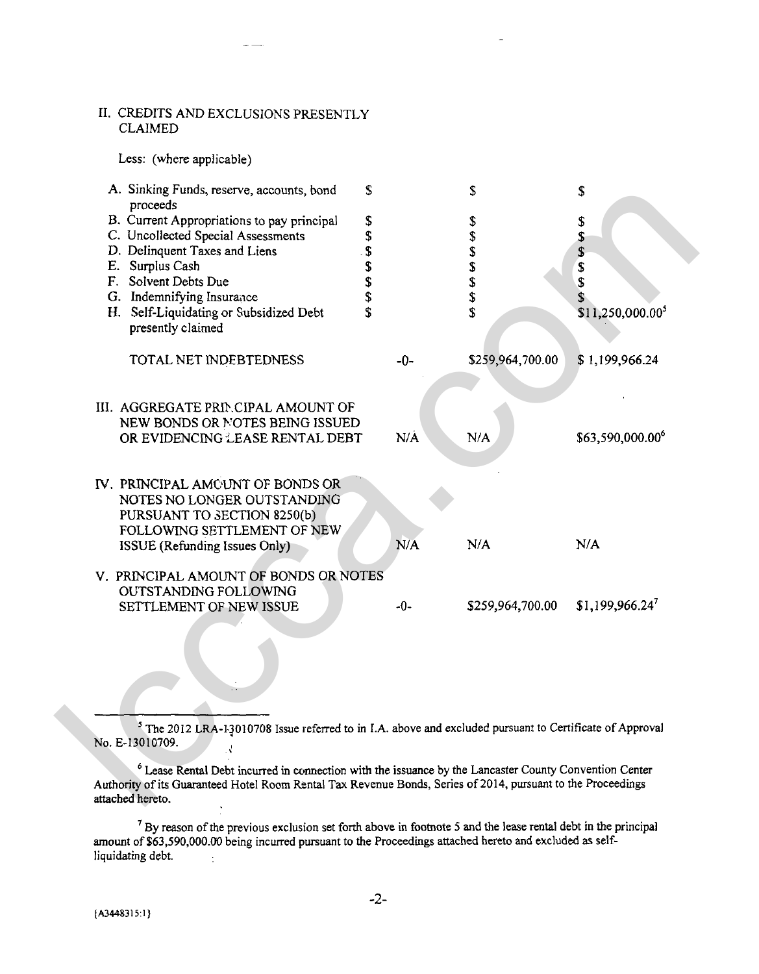#### 11. CREDITS AND EXCLUSIONS PRESENTLY CLAIMED

Less: (where applicable)



<sup>5</sup>The 2012 LRA-1.3010708 Issue referred to in I.A. above and excluded pursuant to Certificate of Approval NO. E-13010709. *<sup>d</sup>*

Lease Rental Debt incurred in connection with the issuance by the Lancaster County Convention Center Authority of its Guaranteed Hotel Room Rzntal **Tax** Revenue Bonds, Series of 2014, pursuant to the Proceedings attached hereto.

 $<sup>7</sup>$  By reason of the previous exclusion set forth above in footnote 5 and the lease rental debt in the principal</sup> amount of \$63,590,000.00 being incurred pursuant to the Proceedings attached hereto and excluded as selfliquidating debt.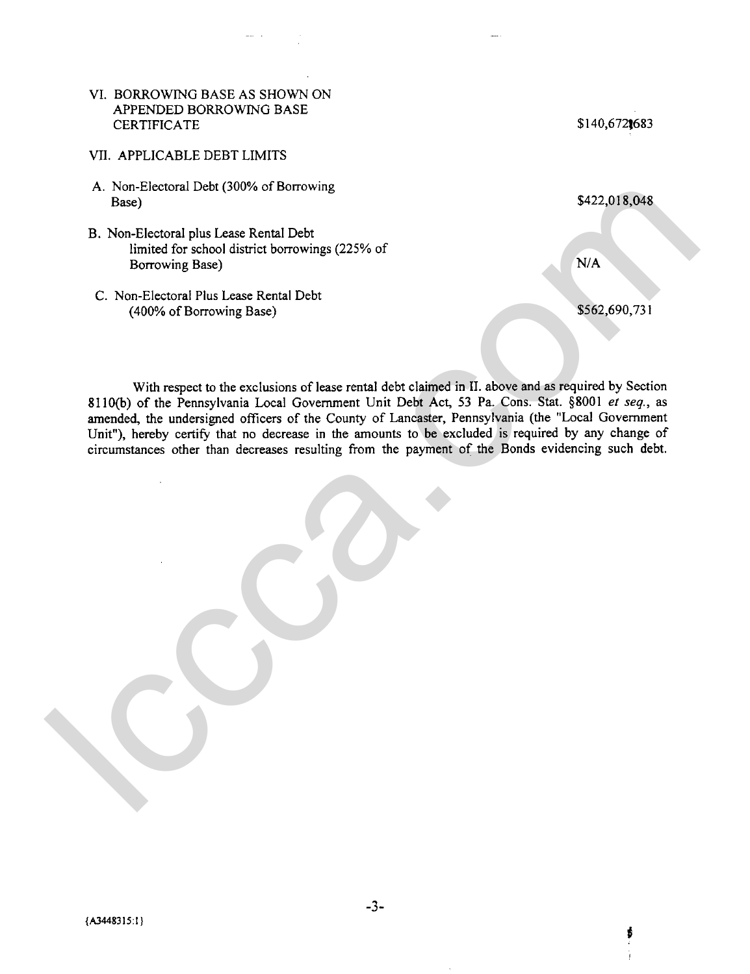### VI. BORROWING BASE AS SHOWN ON APPENDED BORROWING BASE **CERTIFICATE**

- VII. APPLICABLE DEBT LIMITS
- A. Non-Electoral Debt (300% of Borrowing Base)
- B. Non-Electoral plus Lease Rental Debt limited for school district borrowings (225% of Borrowing Base)
- C. Non-Electoral Plus Lease Rental Debt (400% of Borrowing Base)

\$140,672,683

ś

With respect to the exclusions of lease rental debt claimed in **11.** above and as required by Section 8110(b) of the Pennsylvania Local Government Unit Debt Act, 53 Pa. Cons. Stat. \$8001 *et seq.,* as amended, the undersigned officers of the County of Lancaster, Pennsylvania (the "Local Government Unit"), hereby certify that no decrease in the amounts to be excluded is required by any change of circumstances other than decreases resulting from the payment of the Bonds evidencing such debt. A. Non-Electoral Debt (300% of Borrowing<br>
Have)<br>
Have Reverse Recent Debt<br>
Indirect Correlations (225% of<br>
Extremely Base)<br>
C. Non-Electoral Plus Lease Recent Debt<br>
C. Complex and Structure Recent Debt<br>
(400% of Borrowing

 $-3-$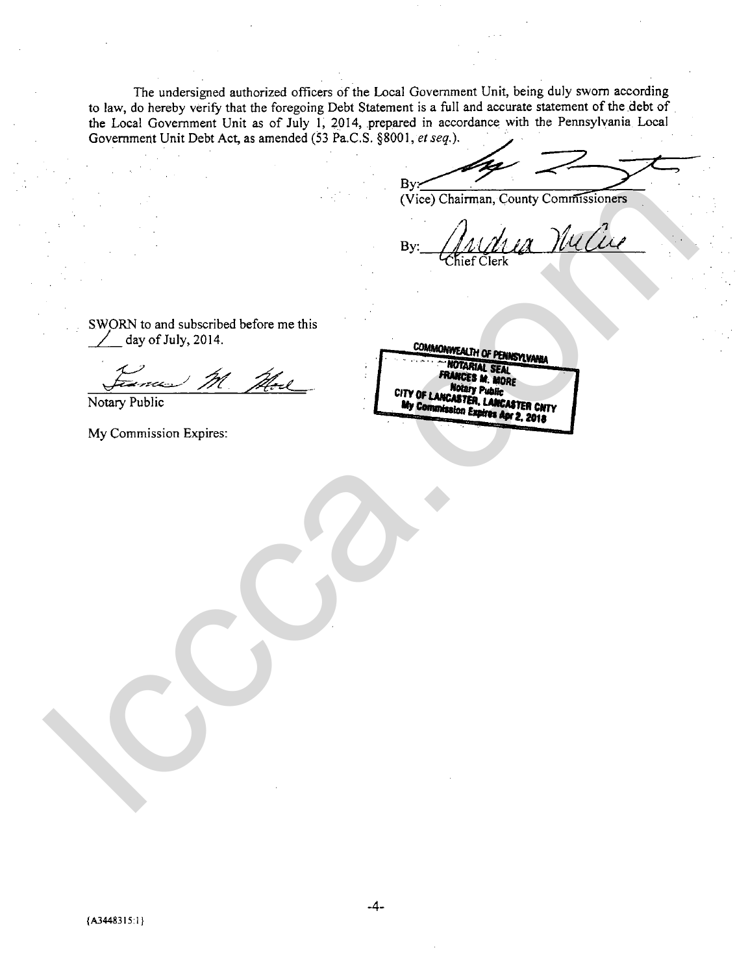The undersigned authorized officers of the Local Government Unit, being duly sworn according to **law,** do hereby verify that the foregoing Debt Statement is a full and accurate statement of the debt of the Local Government Unit as of July 1, 2014, prepared in accordance with the Pennsylvania Local Government Unit Debt Act, as amended (53 Pa.C.S. §8001, et seq.).

**B**<sub>v</sub>

SWORN to and subscribed before me this  $\angle$  day of July, 2014.

 $\frac{d}{dx}$  day of July, 2014.

Notary Public

My Commission Expires:

lccca.com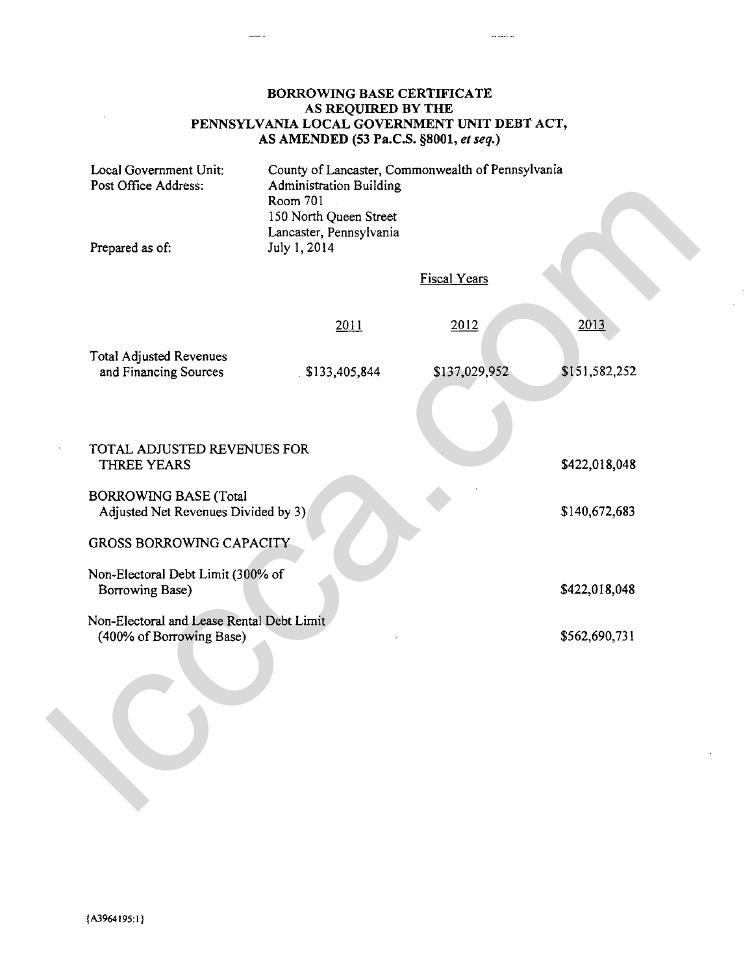## BORROWING BASE CERTIFICATE AS REQUIRED BY THE PENNSYLVANIA LOCAL GOVERNMENT UNIT DEBT ACT, AS AMENDED (53 Pa.C.S. \$8001, **el** *seq.)*

 $\sim$  and  $\sim$ 

| Local Government Unit:<br>Post Office Address:<br>Prepared as of: |                                                                       | <b>Administration Building</b><br>Room 701<br>150 North Queen Street<br>Lancaster, Pennsylvania<br>July 1, 2014 | County of Lancaster, Commonwealth of Pennsylvania |               |  |  |  |  |
|-------------------------------------------------------------------|-----------------------------------------------------------------------|-----------------------------------------------------------------------------------------------------------------|---------------------------------------------------|---------------|--|--|--|--|
|                                                                   |                                                                       |                                                                                                                 | <b>Fiscal Years</b>                               |               |  |  |  |  |
| <b>Total Adjusted Revenues</b>                                    |                                                                       | 2011                                                                                                            | 2012                                              | 2013          |  |  |  |  |
| and Financing Sources                                             |                                                                       | \$133,405,844                                                                                                   | \$137,029,952                                     | \$151,582,252 |  |  |  |  |
|                                                                   |                                                                       |                                                                                                                 |                                                   |               |  |  |  |  |
| THREE YEARS                                                       | TOTAL ADJUSTED REVENUES FOR                                           |                                                                                                                 |                                                   | \$422,018,048 |  |  |  |  |
| <b>BORROWING BASE (Total</b>                                      | Adjusted Net Revenues Divided by 3)                                   |                                                                                                                 |                                                   | \$140,672,683 |  |  |  |  |
|                                                                   | <b>GROSS BORROWING CAPACITY</b>                                       |                                                                                                                 |                                                   |               |  |  |  |  |
| Borrowing Base)                                                   | Non-Electoral Debt Limit (300% of                                     |                                                                                                                 |                                                   | \$422,018,048 |  |  |  |  |
|                                                                   | Non-Electoral and Lease Rental Debt Limit<br>(400% of Borrowing Base) |                                                                                                                 |                                                   | \$562,690,731 |  |  |  |  |
|                                                                   |                                                                       |                                                                                                                 |                                                   |               |  |  |  |  |
|                                                                   |                                                                       |                                                                                                                 |                                                   |               |  |  |  |  |